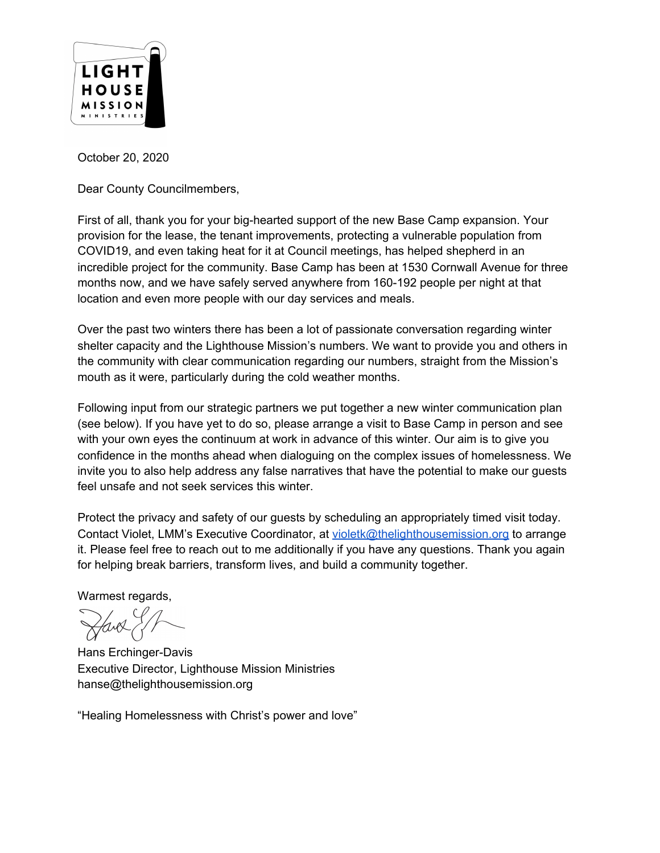

October 20, 2020

Dear County Councilmembers,

First of all, thank you for your big-hearted support of the new Base Camp expansion. Your provision for the lease, the tenant improvements, protecting a vulnerable population from COVID19, and even taking heat for it at Council meetings, has helped shepherd in an incredible project for the community. Base Camp has been at 1530 Cornwall Avenue for three months now, and we have safely served anywhere from 160-192 people per night at that location and even more people with our day services and meals.

Over the past two winters there has been a lot of passionate conversation regarding winter shelter capacity and the Lighthouse Mission's numbers. We want to provide you and others in the community with clear communication regarding our numbers, straight from the Mission's mouth as it were, particularly during the cold weather months.

Following input from our strategic partners we put together a new winter communication plan (see below). If you have yet to do so, please arrange a visit to Base Camp in person and see with your own eyes the continuum at work in advance of this winter. Our aim is to give you confidence in the months ahead when dialoguing on the complex issues of homelessness. We invite you to also help address any false narratives that have the potential to make our guests feel unsafe and not seek services this winter.

Protect the privacy and safety of our guests by scheduling an appropriately timed visit today. Contact Violet, LMM's Executive Coordinator, at [violetk@thelighthousemission.org](mailto:violetk@thelighthousemission.org) to arrange it. Please feel free to reach out to me additionally if you have any questions. Thank you again for helping break barriers, transform lives, and build a community together.

Warmest regards,

Hans Erchinger-Davis Executive Director, Lighthouse Mission Ministries hanse@thelighthousemission.org

"Healing Homelessness with Christ's power and love"